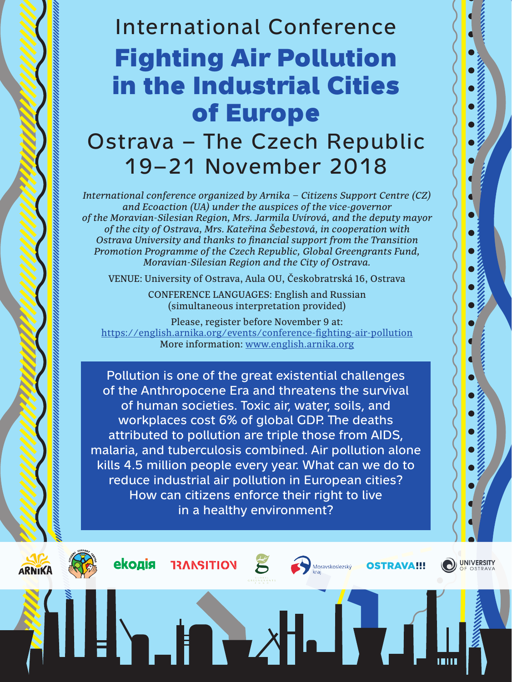# International Conference Fighting Air Pollution in the Industrial Cities of Europe

## Ostrava – The Czech Republic 19–21 November 2018

*International conference organized by Arnika – Citizens Support Centre (CZ) and Ecoaction (UA) under the auspices of the vice-governor of the Moravian-Silesian Region, Mrs. Jarmila Uvírová, and the deputy mayor of the city of Ostrava, Mrs. Kateřina Šebestová, in cooperation with Ostrava University and thanks to financial support from the Transition Promotion Programme of the Czech Republic, Global Greengrants Fund, Moravian-Silesian Region and the City of Ostrava.*

VENUE: University of Ostrava, Aula OU, Českobratrská 16, Ostrava

CONFERENCE LANGUAGES: English and Russian (simultaneous interpretation provided)

Please, register before November 9 at: <https://english.arnika.org/events/conference-fighting-air-pollution> More information: [www.english.arnika.org](http://www.english.arnika.org/ukraine)

Pollution is one of the great existential challenges of the Anthropocene Era and threatens the survival of human societies. Toxic air, water, soils, and workplaces cost 6% of global GDP. The deaths attributed to pollution are triple those from AIDS, malaria, and tuberculosis combined. Air pollution alone kills 4.5 million people every year. What can we do to reduce industrial air pollution in European cities? How can citizens enforce their right to live in a healthy environment?







**THE** 





HJ V.

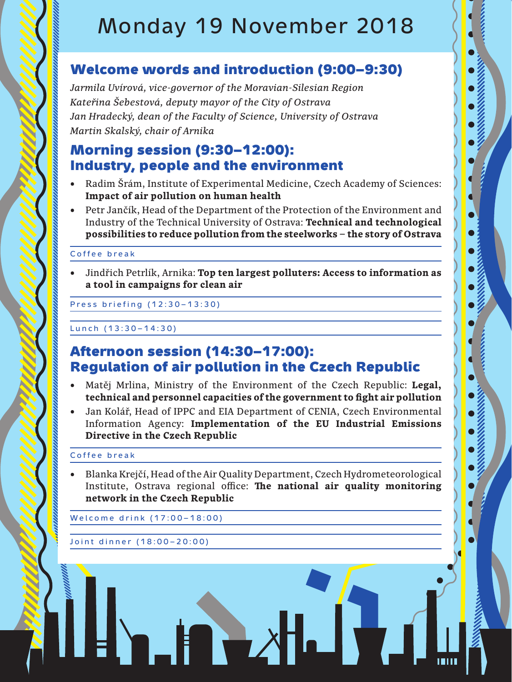## Monday 19 November 2018

## Welcome words and introduction (9:00–9:30)

*Jarmila Uvírová, vice-governor of the Moravian-Silesian Region Kateřina Šebestová, deputy mayor of the City of Ostrava Jan Hradecký, dean of the Faculty of Science, University of Ostrava Martin Skalský, chair of Arnika*

## Morning session (9:30–12:00): Industry, people and the environment

- Radim Šrám, Institute of Experimental Medicine, Czech Academy of Sciences: **Impact of air pollution on human health**
- Petr Jančík, Head of the Department of the Protection of the Environment and Industry of the Technical University of Ostrava: **Technical and technological possibilities to reduce pollution from the steelworks – the story of Ostrava**

#### Coffee break

Jindřich Petrlík, Arnika: **Top ten largest polluters: Access to information as a tool in campaigns for clean air**

Press briefing (12:30–13:30)

Lunch (13:30-14:30)

### Afternoon session (14:30–17:00): Regulation of air pollution in the Czech Republic

- Matěj Mrlina, Ministry of the Environment of the Czech Republic: Legal, **technical and personnel capacities of the government to fight air pollution**
- Jan Kolář, Head of IPPC and EIA Department of CENIA, Czech Environmental Information Agency: **Implementation of the EU Industrial Emissions Directive in the Czech Republic**

#### Coffee break

• Blanka Krejčí, Head of the Air Quality Department, Czech Hydrometeorological Institute, Ostrava regional office: **The national air quality monitoring network in the Czech Republic**

TY

**Н. Б. Д.** 

Welcome drink (17:00–18:00)

Joint dinner (18:00–20:00)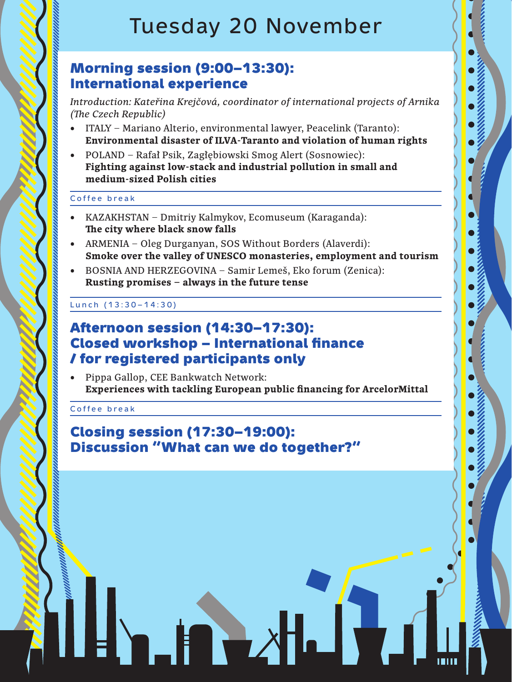## Tuesday 20 November

### Morning session (9:00–13:30): International experience

*Introduction: Kateřina Krejčová, coordinator of international projects of Arnika (The Czech Republic)*

- ITALY Mariano Alterio, environmental lawyer, Peacelink (Taranto): **Environmental disaster of ILVA-Taranto and violation of human rights**
- • POLAND Rafał Psik, Zagłębiowski Smog Alert (Sosnowiec): **Fighting against low-stack and industrial pollution in small and medium-sized Polish cities**

#### Coffee break

- • KAZAKHSTAN Dmitriy Kalmykov, Ecomuseum (Karaganda): **The city where black snow falls**
- ARMENIA Oleg Durganyan, SOS Without Borders (Alaverdi): **Smoke over the valley of UNESCO monasteries, employment and tourism**
- BOSNIA AND HERZEGOVINA Samir Lemeš, Eko forum (Zenica): **Rusting promises – always in the future tense**

#### Lunch (13:30–14:30)

### Afternoon session (14:30–17:30): Closed workshop – International finance / for registered participants only

• Pippa Gallop, CEE Bankwatch Network: **Experiences with tackling European public financing for ArcelorMittal**

Coffee break

### Closing session (17:30–19:00): Discussion "What can we do together?"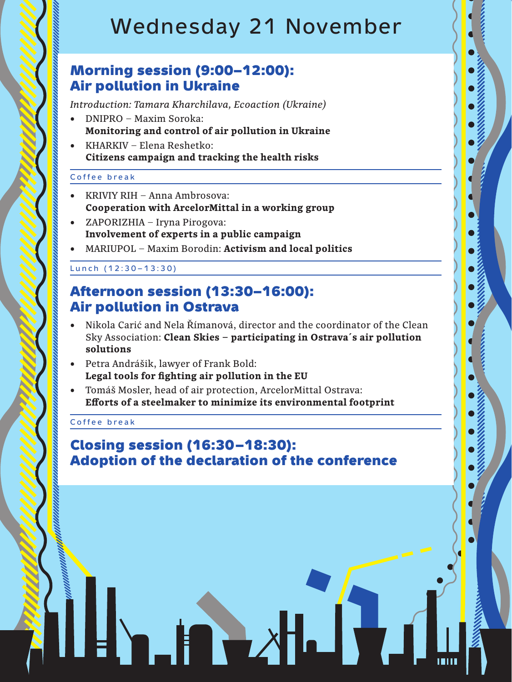## Wednesday 21 November

### Morning session (9:00–12:00): Air pollution in Ukraine

*Introduction: Tamara Kharchilava, Ecoaction (Ukraine)*

- DNIPRO Maxim Soroka: **Monitoring and control of air pollution in Ukraine**
- KHARKIV Elena Reshetko: **Citizens campaign and tracking the health risks**

#### Coffee break

- KRIVIY RIH Anna Ambrosova: **Cooperation with ArcelorMittal in a working group**
- • ZAPORIZHIA Iryna Pirogova: **Involvement of experts in a public campaign**
- • MARIUPOL Maxim Borodin: **Activism and local politics**

#### Lunch (12:30–13:30)

## Afternoon session (13:30–16:00): Air pollution in Ostrava

- Nikola Carić and Nela Římanová, director and the coordinator of the Clean Sky Association: **Clean Skies – participating in Ostrava´s air pollution solutions**
- • Petra Andrášik, lawyer of Frank Bold: **Legal tools for fighting air pollution in the EU**
- • Tomáš Mosler, head of air protection, ArcelorMittal Ostrava: **Efforts of a steelmaker to minimize its environmental footprint**

#### Coffee break

### Closing session (16:30–18:30): Adoption of the declaration of the conference